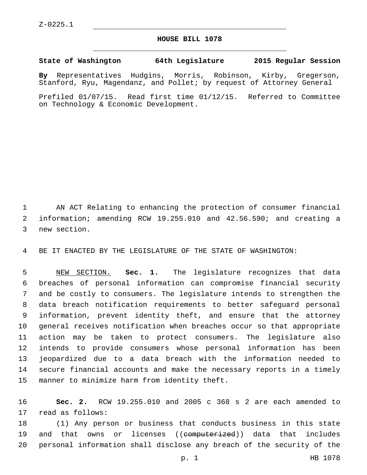## **HOUSE BILL 1078**

## **State of Washington 64th Legislature 2015 Regular Session**

**By** Representatives Hudgins, Morris, Robinson, Kirby, Gregerson, Stanford, Ryu, Magendanz, and Pollet; by request of Attorney General

Prefiled 01/07/15. Read first time 01/12/15. Referred to Committee on Technology & Economic Development.

 AN ACT Relating to enhancing the protection of consumer financial information; amending RCW 19.255.010 and 42.56.590; and creating a 3 new section.

BE IT ENACTED BY THE LEGISLATURE OF THE STATE OF WASHINGTON:

 NEW SECTION. **Sec. 1.** The legislature recognizes that data breaches of personal information can compromise financial security and be costly to consumers. The legislature intends to strengthen the data breach notification requirements to better safeguard personal information, prevent identity theft, and ensure that the attorney general receives notification when breaches occur so that appropriate action may be taken to protect consumers. The legislature also intends to provide consumers whose personal information has been jeopardized due to a data breach with the information needed to secure financial accounts and make the necessary reports in a timely manner to minimize harm from identity theft.

 **Sec. 2.** RCW 19.255.010 and 2005 c 368 s 2 are each amended to 17 read as follows:

 (1) Any person or business that conducts business in this state 19 and that owns or licenses ((<del>computerized</del>)) data that includes personal information shall disclose any breach of the security of the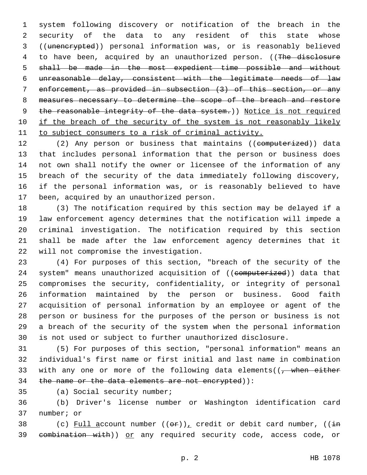system following discovery or notification of the breach in the security of the data to any resident of this state whose ((unencrypted)) personal information was, or is reasonably believed 4 to have been, acquired by an unauthorized person. ((The disclosure shall be made in the most expedient time possible and without unreasonable delay, consistent with the legitimate needs of law enforcement, as provided in subsection (3) of this section, or any measures necessary to determine the scope of the breach and restore 9 the reasonable integrity of the data system.)) Notice is not required 10 if the breach of the security of the system is not reasonably likely to subject consumers to a risk of criminal activity.

12 (2) Any person or business that maintains ((computerized)) data that includes personal information that the person or business does not own shall notify the owner or licensee of the information of any breach of the security of the data immediately following discovery, if the personal information was, or is reasonably believed to have 17 been, acquired by an unauthorized person.

 (3) The notification required by this section may be delayed if a law enforcement agency determines that the notification will impede a criminal investigation. The notification required by this section shall be made after the law enforcement agency determines that it 22 will not compromise the investigation.

 (4) For purposes of this section, "breach of the security of the 24 system" means unauthorized acquisition of ((computerized)) data that compromises the security, confidentiality, or integrity of personal information maintained by the person or business. Good faith acquisition of personal information by an employee or agent of the person or business for the purposes of the person or business is not a breach of the security of the system when the personal information is not used or subject to further unauthorized disclosure.

 (5) For purposes of this section, "personal information" means an individual's first name or first initial and last name in combination 33 with any one or more of the following data elements( $\left(\frac{1}{f}\right)$  when either 34 the name or the data elements are not encrypted)):

35 (a) Social security number;

 (b) Driver's license number or Washington identification card 37 number; or

38 (c) Full account number  $((\theta \cdot \hat{r}))$ , credit or debit card number,  $((\frac{1}{2}m)^2 + (m \hat{r})^2 + m \hat{r})$ 39 eombination with)) or any required security code, access code, or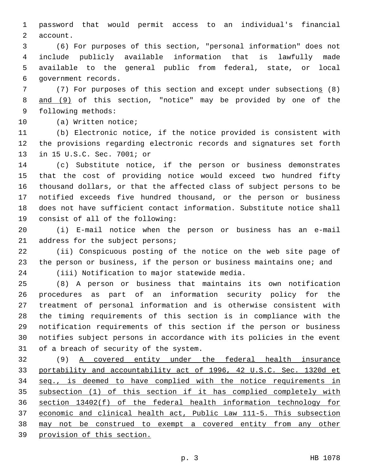password that would permit access to an individual's financial 2 account.

 (6) For purposes of this section, "personal information" does not include publicly available information that is lawfully made available to the general public from federal, state, or local 6 government records.

 (7) For purposes of this section and except under subsections (8) and (9) of this section, "notice" may be provided by one of the 9 following methods:

10 (a) Written notice;

 (b) Electronic notice, if the notice provided is consistent with the provisions regarding electronic records and signatures set forth 13 in 15 U.S.C. Sec. 7001; or

 (c) Substitute notice, if the person or business demonstrates that the cost of providing notice would exceed two hundred fifty thousand dollars, or that the affected class of subject persons to be notified exceeds five hundred thousand, or the person or business does not have sufficient contact information. Substitute notice shall 19 consist of all of the following:

 (i) E-mail notice when the person or business has an e-mail 21 address for the subject persons;

 (ii) Conspicuous posting of the notice on the web site page of the person or business, if the person or business maintains one; and 24 (iii) Notification to major statewide media.

 (8) A person or business that maintains its own notification procedures as part of an information security policy for the treatment of personal information and is otherwise consistent with the timing requirements of this section is in compliance with the notification requirements of this section if the person or business notifies subject persons in accordance with its policies in the event 31 of a breach of security of the system.

 (9) A covered entity under the federal health insurance portability and accountability act of 1996, 42 U.S.C. Sec. 1320d et seq., is deemed to have complied with the notice requirements in subsection (1) of this section if it has complied completely with section 13402(f) of the federal health information technology for economic and clinical health act, Public Law 111-5. This subsection may not be construed to exempt a covered entity from any other provision of this section.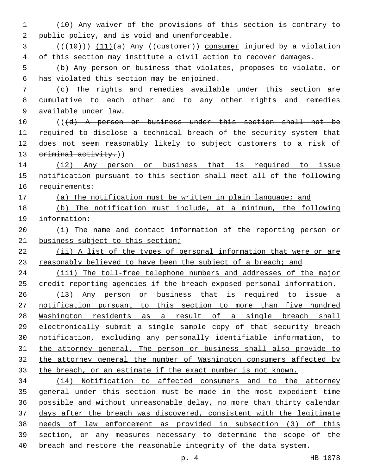(10) Any waiver of the provisions of this section is contrary to 2 public policy, and is void and unenforceable.

 ( $(\overline{+10})$ )  $(11)(a)$  Any ((eustomer)) consumer injured by a violation of this section may institute a civil action to recover damages.

 (b) Any person or business that violates, proposes to violate, or 6 has violated this section may be enjoined.

 (c) The rights and remedies available under this section are cumulative to each other and to any other rights and remedies available under law.9

 (( $\{d\}$ ) A person or business under this section shall not be 11 required to disclose a technical breach of the security system that does not seem reasonably likely to subject customers to a risk of 13 criminal activity.))

 (12) Any person or business that is required to issue notification pursuant to this section shall meet all of the following requirements:

(a) The notification must be written in plain language; and

 (b) The notification must include, at a minimum, the following information:

 (i) The name and contact information of the reporting person or business subject to this section;

 (ii) A list of the types of personal information that were or are 23 reasonably believed to have been the subject of a breach; and

 (iii) The toll-free telephone numbers and addresses of the major credit reporting agencies if the breach exposed personal information.

 (13) Any person or business that is required to issue a notification pursuant to this section to more than five hundred Washington residents as a result of a single breach shall electronically submit a single sample copy of that security breach notification, excluding any personally identifiable information, to the attorney general. The person or business shall also provide to 32 the attorney general the number of Washington consumers affected by the breach, or an estimate if the exact number is not known.

 (14) Notification to affected consumers and to the attorney general under this section must be made in the most expedient time possible and without unreasonable delay, no more than thirty calendar days after the breach was discovered, consistent with the legitimate needs of law enforcement as provided in subsection (3) of this section, or any measures necessary to determine the scope of the breach and restore the reasonable integrity of the data system.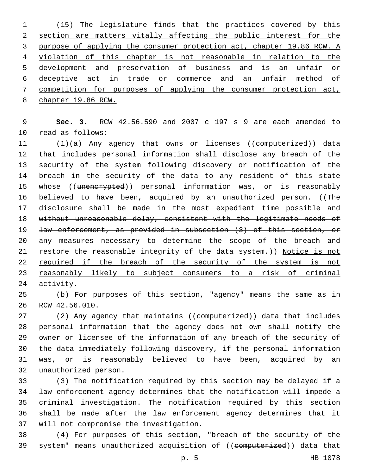(15) The legislature finds that the practices covered by this section are matters vitally affecting the public interest for the purpose of applying the consumer protection act, chapter 19.86 RCW. A violation of this chapter is not reasonable in relation to the development and preservation of business and is an unfair or deceptive act in trade or commerce and an unfair method of competition for purposes of applying the consumer protection act, chapter 19.86 RCW.

 **Sec. 3.** RCW 42.56.590 and 2007 c 197 s 9 are each amended to 10 read as follows:

11 (1)(a) Any agency that owns or licenses ((eomputerized)) data that includes personal information shall disclose any breach of the security of the system following discovery or notification of the breach in the security of the data to any resident of this state 15 whose ((unencrypted)) personal information was, or is reasonably 16 believed to have been, acquired by an unauthorized person. ((The disclosure shall be made in the most expedient time possible and without unreasonable delay, consistent with the legitimate needs of law enforcement, as provided in subsection (3) of this section, or any measures necessary to determine the scope of the breach and 21 restore the reasonable integrity of the data system.)) Notice is not 22 required if the breach of the security of the system is not reasonably likely to subject consumers to a risk of criminal activity.

 (b) For purposes of this section, "agency" means the same as in 26 RCW 42.56.010.

27 (2) Any agency that maintains ((computerized)) data that includes personal information that the agency does not own shall notify the owner or licensee of the information of any breach of the security of the data immediately following discovery, if the personal information was, or is reasonably believed to have been, acquired by an unauthorized person.32

 (3) The notification required by this section may be delayed if a law enforcement agency determines that the notification will impede a criminal investigation. The notification required by this section shall be made after the law enforcement agency determines that it 37 will not compromise the investigation.

 (4) For purposes of this section, "breach of the security of the 39 system" means unauthorized acquisition of ((computerized)) data that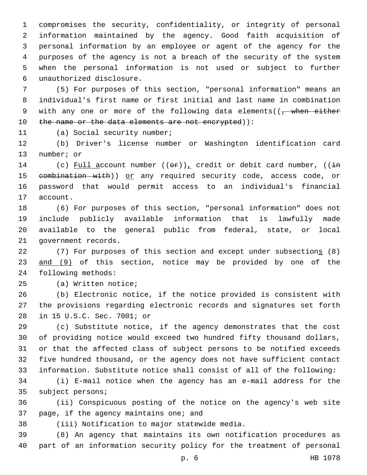compromises the security, confidentiality, or integrity of personal information maintained by the agency. Good faith acquisition of personal information by an employee or agent of the agency for the purposes of the agency is not a breach of the security of the system when the personal information is not used or subject to further unauthorized disclosure.6

7 (5) For purposes of this section, "personal information" means an 8 individual's first name or first initial and last name in combination 9 with any one or more of the following data elements( $\sqrt{$ , when either 10 the name or the data elements are not encrypted)):

11 (a) Social security number;

12 (b) Driver's license number or Washington identification card 13 number; or

14 (c) Full account number  $((\theta \cdot \mathbf{r}))$ , credit or debit card number,  $((\frac{1}{2}m)^2 + m^2)$ 15 eombination with)) or any required security code, access code, or 16 password that would permit access to an individual's financial 17 account.

 (6) For purposes of this section, "personal information" does not include publicly available information that is lawfully made available to the general public from federal, state, or local 21 government records.

22 (7) For purposes of this section and except under subsections (8) 23 and (9) of this section, notice may be provided by one of the 24 following methods:

25 (a) Written notice;

26 (b) Electronic notice, if the notice provided is consistent with 27 the provisions regarding electronic records and signatures set forth 28 in 15 U.S.C. Sec. 7001; or

 (c) Substitute notice, if the agency demonstrates that the cost of providing notice would exceed two hundred fifty thousand dollars, or that the affected class of subject persons to be notified exceeds five hundred thousand, or the agency does not have sufficient contact information. Substitute notice shall consist of all of the following:

34 (i) E-mail notice when the agency has an e-mail address for the 35 subject persons;

36 (ii) Conspicuous posting of the notice on the agency's web site 37 page, if the agency maintains one; and

(iii) Notification to major statewide media.38

39 (8) An agency that maintains its own notification procedures as 40 part of an information security policy for the treatment of personal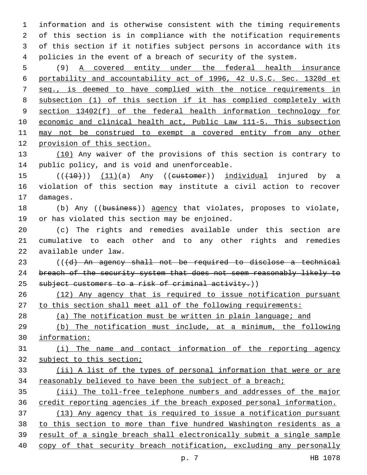information and is otherwise consistent with the timing requirements of this section is in compliance with the notification requirements of this section if it notifies subject persons in accordance with its policies in the event of a breach of security of the system.

 (9) A covered entity under the federal health insurance portability and accountability act of 1996, 42 U.S.C. Sec. 1320d et seq., is deemed to have complied with the notice requirements in subsection (1) of this section if it has complied completely with section 13402(f) of the federal health information technology for economic and clinical health act, Public Law 111-5. This subsection may not be construed to exempt a covered entity from any other provision of this section.

13 (10) Any waiver of the provisions of this section is contrary to 14 public policy, and is void and unenforceable.

15 (((10))) (11)(a) Any ((eustomer)) individual injured by a violation of this section may institute a civil action to recover 17 damages.

18 (b) Any ((business)) agency that violates, proposes to violate, 19 or has violated this section may be enjoined.

 (c) The rights and remedies available under this section are cumulative to each other and to any other rights and remedies 22 available under law.

 (((d) An agency shall not be required to disclose a technical 24 breach of the security system that does not seem reasonably likely to 25 subject customers to a risk of criminal activity.))

 (12) Any agency that is required to issue notification pursuant to this section shall meet all of the following requirements:

(a) The notification must be written in plain language; and

 (b) The notification must include, at a minimum, the following information:

 (i) The name and contact information of the reporting agency subject to this section;

 (ii) A list of the types of personal information that were or are reasonably believed to have been the subject of a breach;

 (iii) The toll-free telephone numbers and addresses of the major credit reporting agencies if the breach exposed personal information. (13) Any agency that is required to issue a notification pursuant

 to this section to more than five hundred Washington residents as a result of a single breach shall electronically submit a single sample

40 copy of that security breach notification, excluding any personally